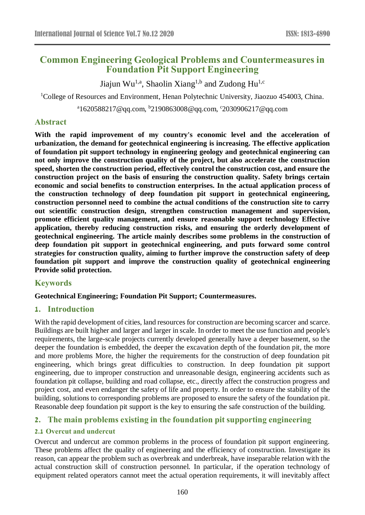# **Common Engineering Geological Problems and Countermeasures in Foundation Pit Support Engineering**

Jiajun Wu<sup>1,a</sup>, Shaolin Xiang<sup>1,b</sup> and Zudong Hu<sup>1,c</sup>

<sup>1</sup>College of Resources and Environment, Henan Polytechnic University, Jiaozuo 454003, China.

<sup>a</sup>1620588217@qq.com, <sup>b</sup>2190863008@qq.com, °2030906217@qq.com

## **Abstract**

**With the rapid improvement of my country's economic level and the acceleration of urbanization, the demand for geotechnical engineering is increasing. The effective application of foundation pit support technology in engineering geology and geotechnical engineering can not only improve the construction quality of the project, but also accelerate the construction speed, shorten the construction period, effectively control the construction cost, and ensure the construction project on the basis of ensuring the construction quality. Safety brings certain economic and social benefits to construction enterprises. In the actual application process of the construction technology of deep foundation pit support in geotechnical engineering, construction personnel need to combine the actual conditions of the construction site to carry out scientific construction design, strengthen construction management and supervision, promote efficient quality management, and ensure reasonable support technology Effective application, thereby reducing construction risks, and ensuring the orderly development of geotechnical engineering. The article mainly describes some problems in the construction of deep foundation pit support in geotechnical engineering, and puts forward some control strategies for construction quality, aiming to further improve the construction safety of deep foundation pit support and improve the construction quality of geotechnical engineering Provide solid protection.**

## **Keywords**

### **Geotechnical Engineering; Foundation Pit Support; Countermeasures.**

### **1. Introduction**

With the rapid development of cities, land resources for construction are becoming scarcer and scarce. Buildings are built higher and larger and larger in scale. In order to meet the use function and people's requirements, the large-scale projects currently developed generally have a deeper basement, so the deeper the foundation is embedded, the deeper the excavation depth of the foundation pit, the more and more problems More, the higher the requirements for the construction of deep foundation pit engineering, which brings great difficulties to construction. In deep foundation pit support engineering, due to improper construction and unreasonable design, engineering accidents such as foundation pit collapse, building and road collapse, etc., directly affect the construction progress and project cost, and even endanger the safety of life and property. In order to ensure the stability of the building, solutions to corresponding problems are proposed to ensure the safety of the foundation pit. Reasonable deep foundation pit support is the key to ensuring the safe construction of the building.

## **2. The main problems existing in the foundation pit supporting engineering**

## **2.1 Overcut and undercut**

Overcut and undercut are common problems in the process of foundation pit support engineering. These problems affect the quality of engineering and the efficiency of construction. Investigate its reason, can appear the problem such as overbreak and underbreak, have inseparable relation with the actual construction skill of construction personnel. In particular, if the operation technology of equipment related operators cannot meet the actual operation requirements, it will inevitably affect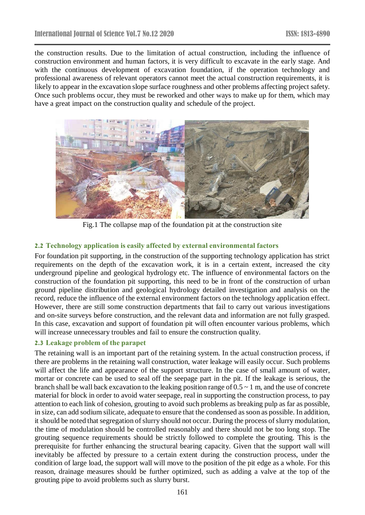the construction results. Due to the limitation of actual construction, including the influence of construction environment and human factors, it is very difficult to excavate in the early stage. And with the continuous development of excavation foundation, if the operation technology and professional awareness of relevant operators cannot meet the actual construction requirements, it is likely to appear in the excavation slope surface roughness and other problems affecting project safety. Once such problems occur, they must be reworked and other ways to make up for them, which may have a great impact on the construction quality and schedule of the project.



Fig.1 The collapse map of the foundation pit at the construction site

## **2.2 Technology application is easily affected by external environmental factors**

For foundation pit supporting, in the construction of the supporting technology application has strict requirements on the depth of the excavation work, it is in a certain extent, increased the city underground pipeline and geological hydrology etc. The influence of environmental factors on the construction of the foundation pit supporting, this need to be in front of the construction of urban ground pipeline distribution and geological hydrology detailed investigation and analysis on the record, reduce the influence of the external environment factors on the technology application effect. However, there are still some construction departments that fail to carry out various investigations and on-site surveys before construction, and the relevant data and information are not fully grasped. In this case, excavation and support of foundation pit will often encounter various problems, which will increase unnecessary troubles and fail to ensure the construction quality.

## **2.3 Leakage problem of the parapet**

The retaining wall is an important part of the retaining system. In the actual construction process, if there are problems in the retaining wall construction, water leakage will easily occur. Such problems will affect the life and appearance of the support structure. In the case of small amount of water, mortar or concrete can be used to seal off the seepage part in the pit. If the leakage is serious, the branch shall be wall back excavation to the leaking position range of  $0.5 \sim 1$  m, and the use of concrete material for block in order to avoid water seepage, real in supporting the construction process, to pay attention to each link of cohesion, grouting to avoid such problems as breaking pulp as far as possible, in size, can add sodium silicate, adequate to ensure that the condensed as soon as possible. In addition, it should be noted that segregation of slurry should not occur. During the process of slurry modulation, the time of modulation should be controlled reasonably and there should not be too long stop. The grouting sequence requirements should be strictly followed to complete the grouting. This is the prerequisite for further enhancing the structural bearing capacity. Given that the support wall will inevitably be affected by pressure to a certain extent during the construction process, under the condition of large load, the support wall will move to the position of the pit edge as a whole. For this reason, drainage measures should be further optimized, such as adding a valve at the top of the grouting pipe to avoid problems such as slurry burst.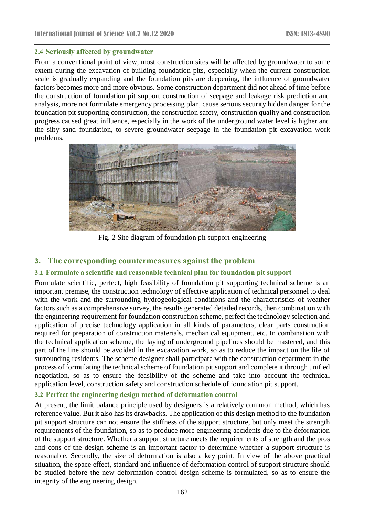### **2.4 Seriously affected by groundwater**

From a conventional point of view, most construction sites will be affected by groundwater to some extent during the excavation of building foundation pits, especially when the current construction scale is gradually expanding and the foundation pits are deepening, the influence of groundwater factors becomes more and more obvious. Some construction department did not ahead of time before the construction of foundation pit support construction of seepage and leakage risk prediction and analysis, more not formulate emergency processing plan, cause serious security hidden danger for the foundation pit supporting construction, the construction safety, construction quality and construction progress caused great influence, especially in the work of the underground water level is higher and the silty sand foundation, to severe groundwater seepage in the foundation pit excavation work problems.



Fig. 2 Site diagram of foundation pit support engineering

## **3. The corresponding countermeasures against the problem**

## **3.1 Formulate a scientific and reasonable technical plan for foundation pit support**

Formulate scientific, perfect, high feasibility of foundation pit supporting technical scheme is an important premise, the construction technology of effective application of technical personnel to deal with the work and the surrounding hydrogeological conditions and the characteristics of weather factors such as a comprehensive survey, the results generated detailed records, then combination with the engineering requirement for foundation construction scheme, perfect the technology selection and application of precise technology application in all kinds of parameters, clear parts construction required for preparation of construction materials, mechanical equipment, etc. In combination with the technical application scheme, the laying of underground pipelines should be mastered, and this part of the line should be avoided in the excavation work, so as to reduce the impact on the life of surrounding residents. The scheme designer shall participate with the construction department in the process of formulating the technical scheme of foundation pit support and complete it through unified negotiation, so as to ensure the feasibility of the scheme and take into account the technical application level, construction safety and construction schedule of foundation pit support.

## **3.2 Perfect the engineering design method of deformation control**

At present, the limit balance principle used by designers is a relatively common method, which has reference value. But it also has its drawbacks. The application of this design method to the foundation pit support structure can not ensure the stiffness of the support structure, but only meet the strength requirements of the foundation, so as to produce more engineering accidents due to the deformation of the support structure. Whether a support structure meets the requirements of strength and the pros and cons of the design scheme is an important factor to determine whether a support structure is reasonable. Secondly, the size of deformation is also a key point. In view of the above practical situation, the space effect, standard and influence of deformation control of support structure should be studied before the new deformation control design scheme is formulated, so as to ensure the integrity of the engineering design.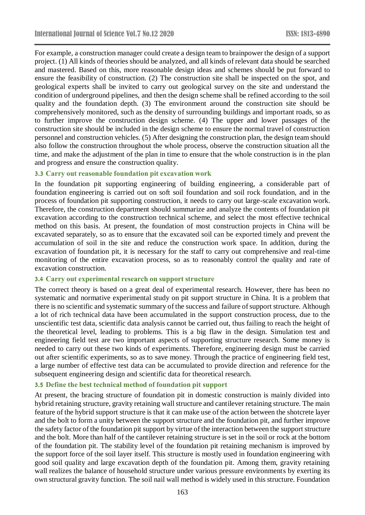For example, a construction manager could create a design team to brainpower the design of a support project. (1) All kinds of theories should be analyzed, and all kinds of relevant data should be searched and mastered. Based on this, more reasonable design ideas and schemes should be put forward to ensure the feasibility of construction. (2) The construction site shall be inspected on the spot, and geological experts shall be invited to carry out geological survey on the site and understand the condition of underground pipelines, and then the design scheme shall be refined according to the soil quality and the foundation depth. (3) The environment around the construction site should be comprehensively monitored, such as the density of surrounding buildings and important roads, so as to further improve the construction design scheme. (4) The upper and lower passages of the construction site should be included in the design scheme to ensure the normal travel of construction personnel and construction vehicles. (5) After designing the construction plan, the design team should also follow the construction throughout the whole process, observe the construction situation all the time, and make the adjustment of the plan in time to ensure that the whole construction is in the plan and progress and ensure the construction quality.

### **3.3 Carry out reasonable foundation pit excavation work**

In the foundation pit supporting engineering of building engineering, a considerable part of foundation engineering is carried out on soft soil foundation and soil rock foundation, and in the process of foundation pit supporting construction, it needs to carry out large-scale excavation work. Therefore, the construction department should summarize and analyze the contents of foundation pit excavation according to the construction technical scheme, and select the most effective technical method on this basis. At present, the foundation of most construction projects in China will be excavated separately, so as to ensure that the excavated soil can be exported timely and prevent the accumulation of soil in the site and reduce the construction work space. In addition, during the excavation of foundation pit, it is necessary for the staff to carry out comprehensive and real-time monitoring of the entire excavation process, so as to reasonably control the quality and rate of excavation construction.

### **3.4 Carry out experimental research on support structure**

The correct theory is based on a great deal of experimental research. However, there has been no systematic and normative experimental study on pit support structure in China. It is a problem that there is no scientific and systematic summary of the success and failure of support structure. Although a lot of rich technical data have been accumulated in the support construction process, due to the unscientific test data, scientific data analysis cannot be carried out, thus failing to reach the height of the theoretical level, leading to problems. This is a big flaw in the design. Simulation test and engineering field test are two important aspects of supporting structure research. Some money is needed to carry out these two kinds of experiments. Therefore, engineering design must be carried out after scientific experiments, so as to save money. Through the practice of engineering field test, a large number of effective test data can be accumulated to provide direction and reference for the subsequent engineering design and scientific data for theoretical research.

### **3.5 Define the best technical method of foundation pit support**

At present, the bracing structure of foundation pit in domestic construction is mainly divided into hybrid retaining structure, gravity retaining wall structure and cantilever retaining structure. The main feature of the hybrid support structure is that it can make use of the action between the shotcrete layer and the bolt to form a unity between the support structure and the foundation pit, and further improve the safety factor of the foundation pit support by virtue of the interaction between the support structure and the bolt. More than half of the cantilever retaining structure is set in the soil or rock at the bottom of the foundation pit. The stability level of the foundation pit retaining mechanism is improved by the support force of the soil layer itself. This structure is mostly used in foundation engineering with good soil quality and large excavation depth of the foundation pit. Among them, gravity retaining wall realizes the balance of household structure under various pressure environments by exerting its own structural gravity function. The soil nail wall method is widely used in this structure. Foundation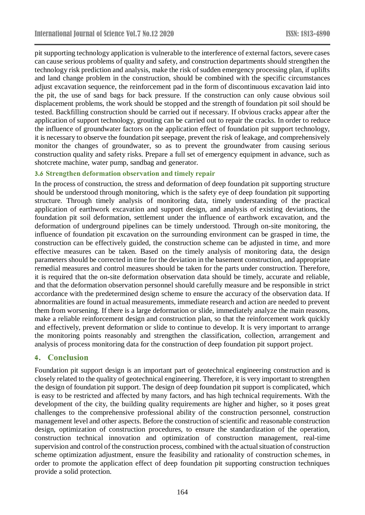pit supporting technology application is vulnerable to the interference of external factors, severe cases can cause serious problems of quality and safety, and construction departments should strengthen the technology risk prediction and analysis, make the risk of sudden emergency processing plan, if uplifts and land change problem in the construction, should be combined with the specific circumstances adjust excavation sequence, the reinforcement pad in the form of discontinuous excavation laid into the pit, the use of sand bags for back pressure. If the construction can only cause obvious soil displacement problems, the work should be stopped and the strength of foundation pit soil should be tested. Backfilling construction should be carried out if necessary. If obvious cracks appear after the application of support technology, grouting can be carried out to repair the cracks. In order to reduce the influence of groundwater factors on the application effect of foundation pit support technology, it is necessary to observe the foundation pit seepage, prevent the risk of leakage, and comprehensively monitor the changes of groundwater, so as to prevent the groundwater from causing serious construction quality and safety risks. Prepare a full set of emergency equipment in advance, such as shotcrete machine, water pump, sandbag and generator.

### **3.6 Strengthen deformation observation and timely repair**

In the process of construction, the stress and deformation of deep foundation pit supporting structure should be understood through monitoring, which is the safety eye of deep foundation pit supporting structure. Through timely analysis of monitoring data, timely understanding of the practical application of earthwork excavation and support design, and analysis of existing deviations, the foundation pit soil deformation, settlement under the influence of earthwork excavation, and the deformation of underground pipelines can be timely understood. Through on-site monitoring, the influence of foundation pit excavation on the surrounding environment can be grasped in time, the construction can be effectively guided, the construction scheme can be adjusted in time, and more effective measures can be taken. Based on the timely analysis of monitoring data, the design parameters should be corrected in time for the deviation in the basement construction, and appropriate remedial measures and control measures should be taken for the parts under construction. Therefore, it is required that the on-site deformation observation data should be timely, accurate and reliable, and that the deformation observation personnel should carefully measure and be responsible in strict accordance with the predetermined design scheme to ensure the accuracy of the observation data. If abnormalities are found in actual measurements, immediate research and action are needed to prevent them from worsening. If there is a large deformation or slide, immediately analyze the main reasons, make a reliable reinforcement design and construction plan, so that the reinforcement work quickly and effectively, prevent deformation or slide to continue to develop. It is very important to arrange the monitoring points reasonably and strengthen the classification, collection, arrangement and analysis of process monitoring data for the construction of deep foundation pit support project.

### **4. Conclusion**

Foundation pit support design is an important part of geotechnical engineering construction and is closely related to the quality of geotechnical engineering. Therefore, it is very important to strengthen the design of foundation pit support. The design of deep foundation pit support is complicated, which is easy to be restricted and affected by many factors, and has high technical requirements. With the development of the city, the building quality requirements are higher and higher, so it poses great challenges to the comprehensive professional ability of the construction personnel, construction management level and other aspects. Before the construction of scientific and reasonable construction design, optimization of construction procedures, to ensure the standardization of the operation, construction technical innovation and optimization of construction management, real-time supervision and control of the construction process, combined with the actual situation of construction scheme optimization adjustment, ensure the feasibility and rationality of construction schemes, in order to promote the application effect of deep foundation pit supporting construction techniques provide a solid protection.